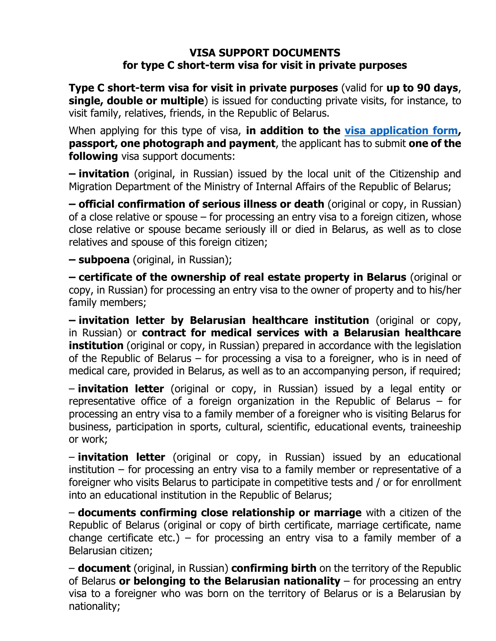## **VISA SUPPORT DOCUMENTS for type C short-term visa for visit in private purposes**

**Type C short-term visa for visit in private purposes** (valid for **up to 90 days**, **single, double or multiple**) is issued for conducting private visits, for instance, to visit family, relatives, friends, in the Republic of Belarus.

When applying for this type of visa, **in addition to the [visa application form,](http://www.mfa.gov.by/docs/visa_forms/english.pdf) passport, one photograph and payment**, the applicant has to submit **one of the following** visa support documents:

**– invitation** (original, in Russian) issued by the local unit of the Citizenship and Migration Department of the Ministry of Internal Affairs of the Republic of Belarus;

**– official confirmation of serious illness or death** (original or copy, in Russian) of a close relative or spouse – for processing an entry visa to a foreign citizen, whose close relative or spouse became seriously ill or died in Belarus, as well as to close relatives and spouse of this foreign citizen;

**– subpoena** (original, in Russian);

**– certificate of the ownership of real estate property in Belarus** (original or copy, in Russian) for processing an entry visa to the owner of property and to his/her family members;

**– invitation letter by Belarusian healthcare institution** (original or copy, in Russian) or **contract for medical services with a Belarusian healthcare institution** (original or copy, in Russian) prepared in accordance with the legislation of the Republic of Belarus – for processing a visa to a foreigner, who is in need of medical care, provided in Belarus, as well as to an accompanying person, if required;

– **invitation letter** (original or copy, in Russian) issued by a legal entity or representative office of a foreign organization in the Republic of Belarus – for processing an entry visa to a family member of a foreigner who is visiting Belarus for business, participation in sports, cultural, scientific, educational events, traineeship or work;

– **invitation letter** (original or copy, in Russian) issued by an educational institution – for processing an entry visa to a family member or representative of a foreigner who visits Belarus to participate in competitive tests and / or for enrollment into an educational institution in the Republic of Belarus;

– **documents confirming close relationship or marriage** with a citizen of the Republic of Belarus (original or copy of birth certificate, marriage certificate, name change certificate etc.) – for processing an entry visa to a family member of a Belarusian citizen;

– **document** (original, in Russian) **confirming birth** on the territory of the Republic of Belarus **or belonging to the Belarusian nationality** – for processing an entry visa to a foreigner who was born on the territory of Belarus or is a Belarusian by nationality;